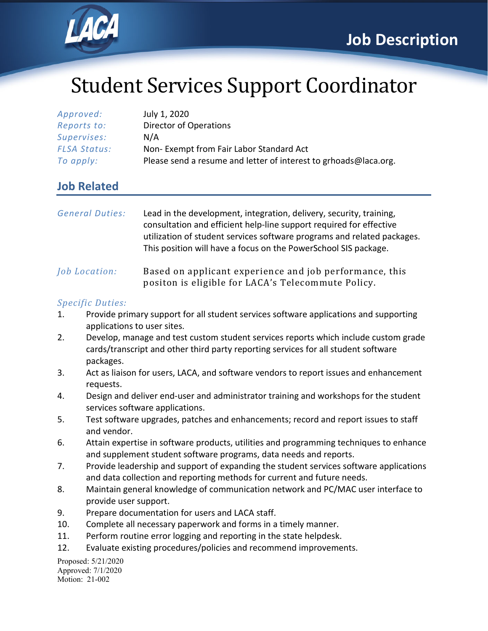

# Student Services Support Coordinator

| Approved:           | July 1, 2020                                                     |
|---------------------|------------------------------------------------------------------|
| Reports to:         | Director of Operations                                           |
| Supervises:         | N/A                                                              |
| <b>FLSA Status:</b> | Non-Exempt from Fair Labor Standard Act                          |
| To apply:           | Please send a resume and letter of interest to grhoads@laca.org. |

### **Job Related**

| <b>General Duties:</b>             | Lead in the development, integration, delivery, security, training,<br>consultation and efficient help-line support required for effective<br>utilization of student services software programs and related packages.<br>This position will have a focus on the PowerSchool SIS package. |
|------------------------------------|------------------------------------------------------------------------------------------------------------------------------------------------------------------------------------------------------------------------------------------------------------------------------------------|
| <i><u><b>Job Location:</b></u></i> | Based on applicant experience and job performance, this<br>positon is eligible for LACA's Telecommute Policy.                                                                                                                                                                            |

#### *Specific Duties:*

- 1. Provide primary support for all student services software applications and supporting applications to user sites.
- 2. Develop, manage and test custom student services reports which include custom grade cards/transcript and other third party reporting services for all student software packages.
- 3. Act as liaison for users, LACA, and software vendors to report issues and enhancement requests.
- 4. Design and deliver end-user and administrator training and workshops for the student services software applications.
- 5. Test software upgrades, patches and enhancements; record and report issues to staff and vendor.
- 6. Attain expertise in software products, utilities and programming techniques to enhance and supplement student software programs, data needs and reports.
- 7. Provide leadership and support of expanding the student services software applications and data collection and reporting methods for current and future needs.
- 8. Maintain general knowledge of communication network and PC/MAC user interface to provide user support.
- 9. Prepare documentation for users and LACA staff.
- 10. Complete all necessary paperwork and forms in a timely manner.
- 11. Perform routine error logging and reporting in the state helpdesk.
- 12. Evaluate existing procedures/policies and recommend improvements.

Proposed: 5/21/2020 Approved: 7/1/2020 Motion: 21-002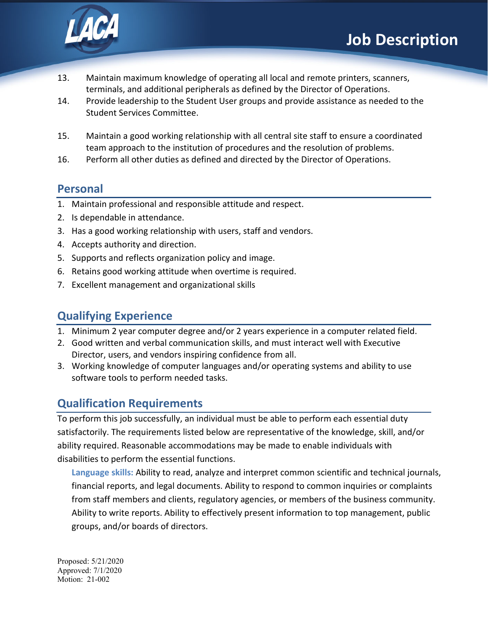

- 13. Maintain maximum knowledge of operating all local and remote printers, scanners, terminals, and additional peripherals as defined by the Director of Operations.
- 14. Provide leadership to the Student User groups and provide assistance as needed to the Student Services Committee.
- 15. Maintain a good working relationship with all central site staff to ensure a coordinated team approach to the institution of procedures and the resolution of problems.
- 16. Perform all other duties as defined and directed by the Director of Operations.

### **Personal**

- 1. Maintain professional and responsible attitude and respect.
- 2. Is dependable in attendance.
- 3. Has a good working relationship with users, staff and vendors.
- 4. Accepts authority and direction.
- 5. Supports and reflects organization policy and image.
- 6. Retains good working attitude when overtime is required.
- 7. Excellent management and organizational skills

# **Qualifying Experience**

- 1. Minimum 2 year computer degree and/or 2 years experience in a computer related field.
- 2. Good written and verbal communication skills, and must interact well with Executive Director, users, and vendors inspiring confidence from all.
- 3. Working knowledge of computer languages and/or operating systems and ability to use software tools to perform needed tasks.

# **Qualification Requirements**

To perform this job successfully, an individual must be able to perform each essential duty satisfactorily. The requirements listed below are representative of the knowledge, skill, and/or ability required. Reasonable accommodations may be made to enable individuals with disabilities to perform the essential functions.

**Language skills:** Ability to read, analyze and interpret common scientific and technical journals, financial reports, and legal documents. Ability to respond to common inquiries or complaints from staff members and clients, regulatory agencies, or members of the business community. Ability to write reports. Ability to effectively present information to top management, public groups, and/or boards of directors.

Proposed: 5/21/2020 Approved: 7/1/2020 Motion: 21-002